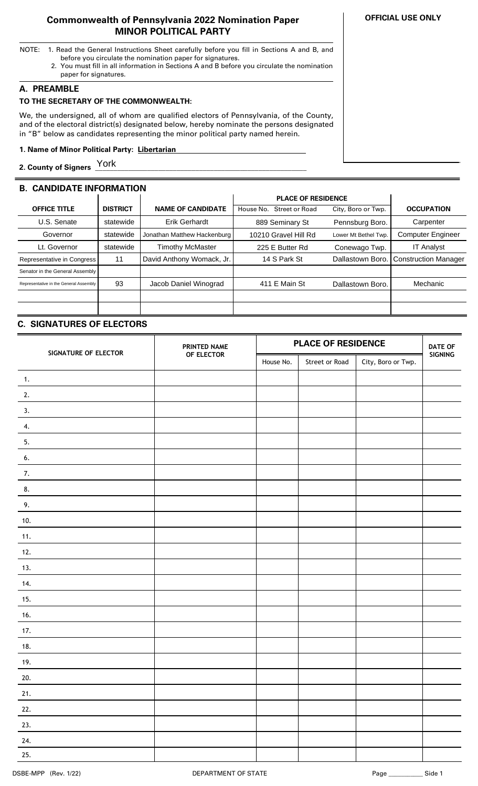### **Commonwealth of Pennsylvania 2022 Nomination Paper MINOR POLITICAL PARTY**

- NOTE: 1. Read the General Instructions Sheet carefully before you fill in Sections A and B, and before you circulate the nomination paper for signatures.
	- 2. You must fill in all information in Sections A and B before you circulate the nomination paper for signatures.

### **A. PREAMBLE**

# **TO THE SECRETARY OF THE COMMONWEALTH:**

We, the undersigned, all of whom are qualified electors of Pennsylvania, of the County, and of the electoral district(s) designated below, hereby nominate the persons designated in "B" below as candidates representing the minor political party named herein.

### **1. Name of Minor Political Party: Libertarian ..**

**2. County of Signers \_\_\_\_\_\_\_\_\_\_\_\_\_\_\_\_\_\_\_\_\_\_\_\_\_\_\_\_\_\_\_\_\_\_\_\_\_\_\_\_\_\_\_\_\_\_\_\_\_\_\_\_\_\_\_\_\_** York

# **B. CANDIDATE INFORMATION**

|                                        |                 |                             | <b>PLACE OF RESIDENCE</b>          |                      |                             |
|----------------------------------------|-----------------|-----------------------------|------------------------------------|----------------------|-----------------------------|
| <b>OFFICE TITLE</b>                    | <b>DISTRICT</b> | <b>NAME OF CANDIDATE</b>    | <b>Street or Road</b><br>House No. | City, Boro or Twp.   | <b>OCCUPATION</b>           |
| U.S. Senate                            | statewide       | <b>Erik Gerhardt</b>        | 889 Seminary St                    | Pennsburg Boro.      | Carpenter                   |
| Governor                               | statewide       | Jonathan Matthew Hackenburg | 10210 Gravel Hill Rd               | Lower Mt Bethel Twp. | <b>Computer Engineer</b>    |
| Lt. Governor                           | statewide       | <b>Timothy McMaster</b>     | 225 E Butter Rd                    | Conewago Twp.        | <b>IT Analyst</b>           |
| Representative in Congress             | 11              | David Anthony Womack, Jr.   | 14 S Park St                       | Dallastown Boro.     | <b>Construction Manager</b> |
| Senator in the General Assembly        |                 |                             |                                    |                      |                             |
| Representative in the General Assembly | 93              | Jacob Daniel Winograd       | 411 E Main St                      | Dallastown Boro.     | Mechanic                    |
|                                        |                 |                             |                                    |                      |                             |
|                                        |                 |                             |                                    |                      |                             |

## **C. SIGNATURES OF ELECTORS**

| SIGNATURE OF ELECTOR | PRINTED NAME | <b>PLACE OF RESIDENCE</b> |                |                    | <b>DATE OF</b> |
|----------------------|--------------|---------------------------|----------------|--------------------|----------------|
|                      | OF ELECTOR   | House No.                 | Street or Road | City, Boro or Twp. | SIGNING        |
| $\mathbf{1}$ .       |              |                           |                |                    |                |
| 2.                   |              |                           |                |                    |                |
| 3.                   |              |                           |                |                    |                |
| 4.                   |              |                           |                |                    |                |
| 5.                   |              |                           |                |                    |                |
| 6.                   |              |                           |                |                    |                |
| 7.                   |              |                           |                |                    |                |
| 8.                   |              |                           |                |                    |                |
| 9.                   |              |                           |                |                    |                |
| 10.                  |              |                           |                |                    |                |
| 11.                  |              |                           |                |                    |                |
| 12.                  |              |                           |                |                    |                |
| 13.                  |              |                           |                |                    |                |
| 14.                  |              |                           |                |                    |                |
| 15.                  |              |                           |                |                    |                |
| 16.                  |              |                           |                |                    |                |
| 17.                  |              |                           |                |                    |                |
| 18.                  |              |                           |                |                    |                |
| 19.                  |              |                           |                |                    |                |
| 20.                  |              |                           |                |                    |                |
| 21.                  |              |                           |                |                    |                |
| 22.                  |              |                           |                |                    |                |
| 23.                  |              |                           |                |                    |                |
| 24.                  |              |                           |                |                    |                |
| 25.                  |              |                           |                |                    |                |